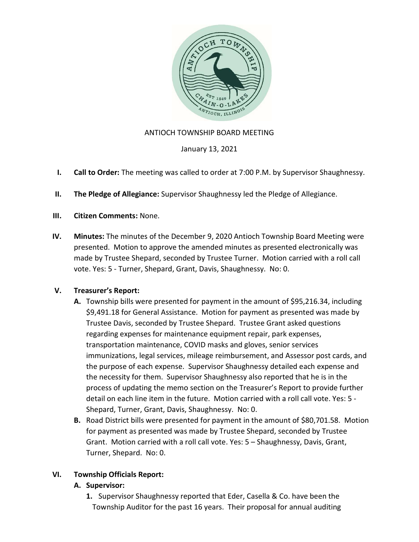

## ANTIOCH TOWNSHIP BOARD MEETING

January 13, 2021

- I. Call to Order: The meeting was called to order at 7:00 P.M. by Supervisor Shaughnessy.
- II. The Pledge of Allegiance: Supervisor Shaughnessy led the Pledge of Allegiance.
- III. Citizen Comments: None.
- IV. Minutes: The minutes of the December 9, 2020 Antioch Township Board Meeting were presented. Motion to approve the amended minutes as presented electronically was made by Trustee Shepard, seconded by Trustee Turner. Motion carried with a roll call vote. Yes: 5 - Turner, Shepard, Grant, Davis, Shaughnessy. No: 0.

## V. Treasurer's Report:

- A. Township bills were presented for payment in the amount of \$95,216.34, including \$9,491.18 for General Assistance. Motion for payment as presented was made by Trustee Davis, seconded by Trustee Shepard. Trustee Grant asked questions regarding expenses for maintenance equipment repair, park expenses, transportation maintenance, COVID masks and gloves, senior services immunizations, legal services, mileage reimbursement, and Assessor post cards, and the purpose of each expense. Supervisor Shaughnessy detailed each expense and the necessity for them. Supervisor Shaughnessy also reported that he is in the process of updating the memo section on the Treasurer's Report to provide further detail on each line item in the future. Motion carried with a roll call vote. Yes: 5 - Shepard, Turner, Grant, Davis, Shaughnessy. No: 0.
- B. Road District bills were presented for payment in the amount of \$80,701.58. Motion for payment as presented was made by Trustee Shepard, seconded by Trustee Grant. Motion carried with a roll call vote. Yes: 5 – Shaughnessy, Davis, Grant, Turner, Shepard. No: 0.

## VI. Township Officials Report:

#### A. Supervisor:

1. Supervisor Shaughnessy reported that Eder, Casella & Co. have been the Township Auditor for the past 16 years. Their proposal for annual auditing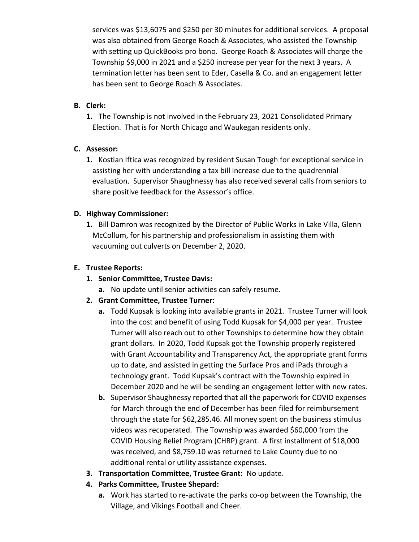services was \$13,6075 and \$250 per 30 minutes for additional services. A proposal was also obtained from George Roach & Associates, who assisted the Township with setting up QuickBooks pro bono. George Roach & Associates will charge the Township \$9,000 in 2021 and a \$250 increase per year for the next 3 years. A termination letter has been sent to Eder, Casella & Co. and an engagement letter has been sent to George Roach & Associates.

## B. Clerk:

1. The Township is not involved in the February 23, 2021 Consolidated Primary Election. That is for North Chicago and Waukegan residents only.

## C. Assessor:

1. Kostian Iftica was recognized by resident Susan Tough for exceptional service in assisting her with understanding a tax bill increase due to the quadrennial evaluation. Supervisor Shaughnessy has also received several calls from seniors to share positive feedback for the Assessor's office.

# D. Highway Commissioner:

1. Bill Damron was recognized by the Director of Public Works in Lake Villa, Glenn McCollum, for his partnership and professionalism in assisting them with vacuuming out culverts on December 2, 2020.

# E. Trustee Reports:

- 1. Senior Committee, Trustee Davis:
	- a. No update until senior activities can safely resume.
- 2. Grant Committee, Trustee Turner:
	- a. Todd Kupsak is looking into available grants in 2021. Trustee Turner will look into the cost and benefit of using Todd Kupsak for \$4,000 per year. Trustee Turner will also reach out to other Townships to determine how they obtain grant dollars. In 2020, Todd Kupsak got the Township properly registered with Grant Accountability and Transparency Act, the appropriate grant forms up to date, and assisted in getting the Surface Pros and iPads through a technology grant. Todd Kupsak's contract with the Township expired in December 2020 and he will be sending an engagement letter with new rates.
	- b. Supervisor Shaughnessy reported that all the paperwork for COVID expenses for March through the end of December has been filed for reimbursement through the state for \$62,285.46. All money spent on the business stimulus videos was recuperated. The Township was awarded \$60,000 from the COVID Housing Relief Program (CHRP) grant. A first installment of \$18,000 was received, and \$8,759.10 was returned to Lake County due to no additional rental or utility assistance expenses.
- 3. Transportation Committee, Trustee Grant: No update.
- 4. Parks Committee, Trustee Shepard:
	- a. Work has started to re-activate the parks co-op between the Township, the Village, and Vikings Football and Cheer.